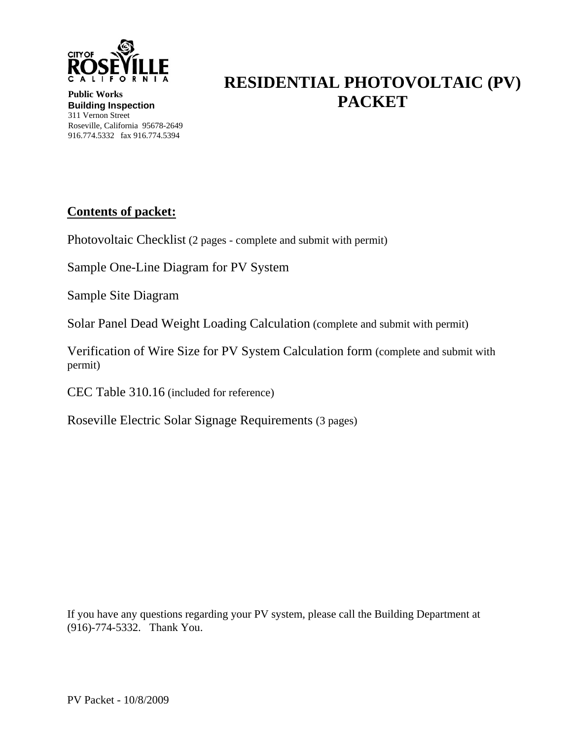

**RESIDENTIAL PHOTOVOLTAIC (PV) PACKET** 

**Public Works Building Inspection**  311 Vernon Street Roseville, California 95678-2649 916.774.5332 fax 916.774.5394

#### **Contents of packet:**

Photovoltaic Checklist (2 pages - complete and submit with permit)

Sample One-Line Diagram for PV System

Sample Site Diagram

Solar Panel Dead Weight Loading Calculation (complete and submit with permit)

Verification of Wire Size for PV System Calculation form (complete and submit with permit)

CEC Table 310.16 (included for reference)

Roseville Electric Solar Signage Requirements (3 pages)

If you have any questions regarding your PV system, please call the Building Department at (916)-774-5332. Thank You.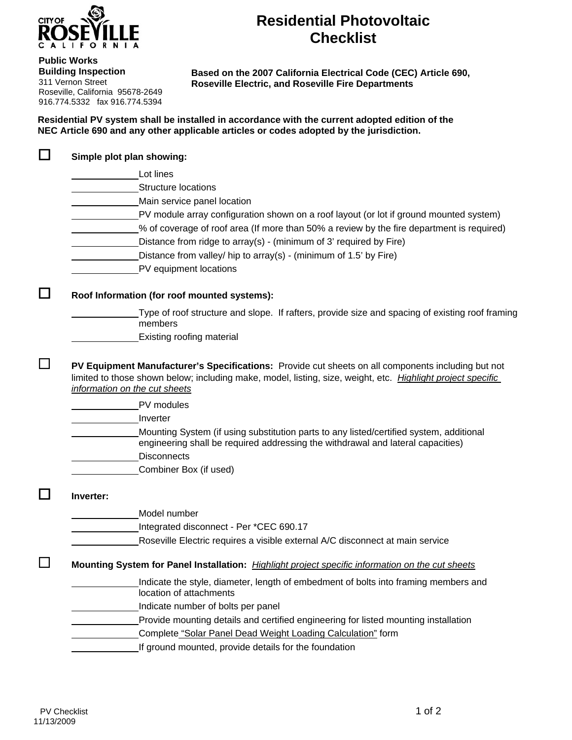

#### **Public Works**

**Building Inspection**  311 Vernon Street Roseville, California 95678-2649 916.774.5332 fax 916.774.5394

#### **Residential Photovoltaic Checklist**

**Based on the 2007 California Electrical Code (CEC) Article 690, Roseville Electric, and Roseville Fire Departments** 

**Residential PV system shall be installed in accordance with the current adopted edition of the NEC Article 690 and any other applicable articles or codes adopted by the jurisdiction.** 

|           | Lot lines                                                                                                                                                                                        |
|-----------|--------------------------------------------------------------------------------------------------------------------------------------------------------------------------------------------------|
|           | <b>Structure locations</b>                                                                                                                                                                       |
|           | Main service panel location                                                                                                                                                                      |
|           | PV module array configuration shown on a roof layout (or lot if ground mounted system)                                                                                                           |
|           | % of coverage of roof area (If more than 50% a review by the fire department is required)                                                                                                        |
|           | Distance from ridge to array(s) - (minimum of 3' required by Fire)                                                                                                                               |
|           | Distance from valley/ hip to array(s) - (minimum of 1.5' by Fire)                                                                                                                                |
|           | PV equipment locations                                                                                                                                                                           |
|           | Roof Information (for roof mounted systems):                                                                                                                                                     |
|           | Type of roof structure and slope. If rafters, provide size and spacing of existing roof framing<br>members                                                                                       |
|           | <b>Existing roofing material</b>                                                                                                                                                                 |
|           | information on the cut sheets<br>PV modules<br>Inverter                                                                                                                                          |
|           | Mounting System (if using substitution parts to any listed/certified system, additional<br>engineering shall be required addressing the withdrawal and lateral capacities)<br><b>Disconnects</b> |
|           | Combiner Box (if used)                                                                                                                                                                           |
|           |                                                                                                                                                                                                  |
|           | Model number                                                                                                                                                                                     |
|           | Integrated disconnect - Per *CEC 690.17                                                                                                                                                          |
|           | Roseville Electric requires a visible external A/C disconnect at main service                                                                                                                    |
|           | Mounting System for Panel Installation: Highlight project specific information on the cut sheets                                                                                                 |
|           | Indicate the style, diameter, length of embedment of bolts into framing members and<br>location of attachments                                                                                   |
|           | Indicate number of bolts per panel                                                                                                                                                               |
| Inverter: | Provide mounting details and certified engineering for listed mounting installation                                                                                                              |
|           | Complete "Solar Panel Dead Weight Loading Calculation" form                                                                                                                                      |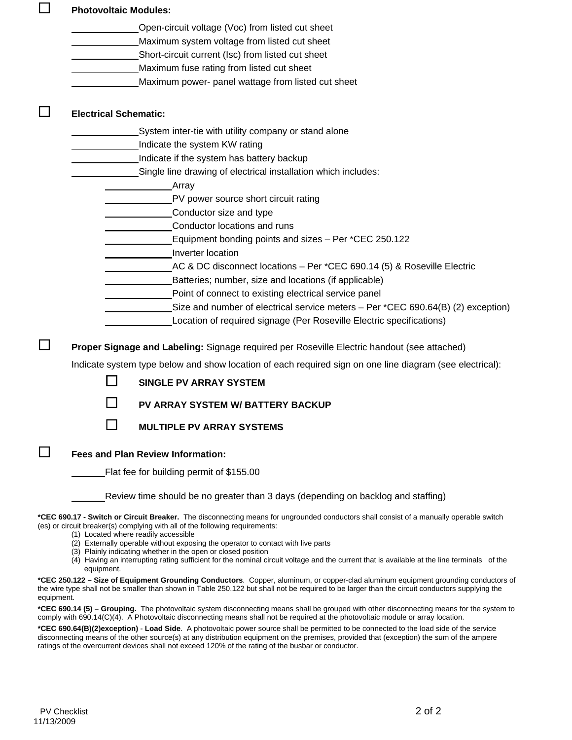|            | <b>Photovoltaic Modules:</b> |                                                                                                                                                                                                                                                                                       |
|------------|------------------------------|---------------------------------------------------------------------------------------------------------------------------------------------------------------------------------------------------------------------------------------------------------------------------------------|
|            |                              | Open-circuit voltage (Voc) from listed cut sheet                                                                                                                                                                                                                                      |
|            |                              | Maximum system voltage from listed cut sheet                                                                                                                                                                                                                                          |
|            |                              | Short-circuit current (Isc) from listed cut sheet                                                                                                                                                                                                                                     |
|            |                              | Maximum fuse rating from listed cut sheet                                                                                                                                                                                                                                             |
|            |                              | Maximum power- panel wattage from listed cut sheet                                                                                                                                                                                                                                    |
|            | <b>Electrical Schematic:</b> |                                                                                                                                                                                                                                                                                       |
|            |                              | System inter-tie with utility company or stand alone                                                                                                                                                                                                                                  |
|            |                              | Indicate the system KW rating                                                                                                                                                                                                                                                         |
|            |                              | Indicate if the system has battery backup                                                                                                                                                                                                                                             |
|            |                              | Single line drawing of electrical installation which includes:                                                                                                                                                                                                                        |
|            |                              | Array                                                                                                                                                                                                                                                                                 |
|            |                              | PV power source short circuit rating                                                                                                                                                                                                                                                  |
|            |                              | Conductor size and type                                                                                                                                                                                                                                                               |
|            |                              | Conductor locations and runs                                                                                                                                                                                                                                                          |
|            |                              | Equipment bonding points and sizes - Per *CEC 250.122                                                                                                                                                                                                                                 |
|            |                              | Inverter location                                                                                                                                                                                                                                                                     |
|            |                              | AC & DC disconnect locations - Per *CEC 690.14 (5) & Roseville Electric                                                                                                                                                                                                               |
|            |                              | Batteries; number, size and locations (if applicable)                                                                                                                                                                                                                                 |
|            |                              | Point of connect to existing electrical service panel                                                                                                                                                                                                                                 |
|            |                              | Size and number of electrical service meters - Per *CEC 690.64(B) (2) exception)                                                                                                                                                                                                      |
|            |                              | Location of required signage (Per Roseville Electric specifications)                                                                                                                                                                                                                  |
|            |                              | Proper Signage and Labeling: Signage required per Roseville Electric handout (see attached)                                                                                                                                                                                           |
|            |                              | Indicate system type below and show location of each required sign on one line diagram (see electrical):                                                                                                                                                                              |
|            |                              | <b>SINGLE PV ARRAY SYSTEM</b>                                                                                                                                                                                                                                                         |
|            |                              | <b>PV ARRAY SYSTEM W/ BATTERY BACKUP</b>                                                                                                                                                                                                                                              |
|            |                              |                                                                                                                                                                                                                                                                                       |
|            |                              | <b>MULTIPLE PV ARRAY SYSTEMS</b>                                                                                                                                                                                                                                                      |
|            |                              | <b>Fees and Plan Review Information:</b>                                                                                                                                                                                                                                              |
|            |                              | Flat fee for building permit of \$155.00                                                                                                                                                                                                                                              |
|            |                              | Review time should be no greater than 3 days (depending on backlog and staffing)                                                                                                                                                                                                      |
|            |                              | *CEC 690.17 - Switch or Circuit Breaker. The disconnecting means for ungrounded conductors shall consist of a manually operable switch<br>(es) or circuit breaker(s) complying with all of the following requirements:<br>(1) Located where readily accessible                        |
|            |                              | (2) Externally operable without exposing the operator to contact with live parts                                                                                                                                                                                                      |
|            | equipment.                   | (3) Plainly indicating whether in the open or closed position<br>(4) Having an interrupting rating sufficient for the nominal circuit voltage and the current that is available at the line terminals of the                                                                          |
| equipment. |                              | *CEC 250.122 - Size of Equipment Grounding Conductors. Copper, aluminum, or copper-clad aluminum equipment grounding conductors of<br>the wire type shall not be smaller than shown in Table 250.122 but shall not be required to be larger than the circuit conductors supplying the |

**\*CEC 690.14 (5) – Grouping.** The photovoltaic system disconnecting means shall be grouped with other disconnecting means for the system to comply with 690.14(C)(4). A Photovoltaic disconnecting means shall not be required at the photovoltaic module or array location.

**\*CEC 690.64(B)(2)exception)** - **Load Side**. A photovoltaic power source shall be permitted to be connected to the load side of the service disconnecting means of the other source(s) at any distribution equipment on the premises, provided that (exception) the sum of the ampere ratings of the overcurrent devices shall not exceed 120% of the rating of the busbar or conductor.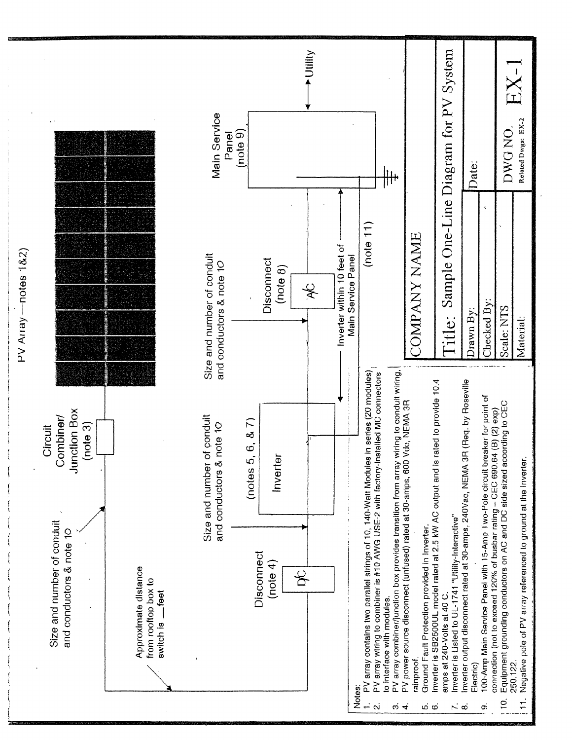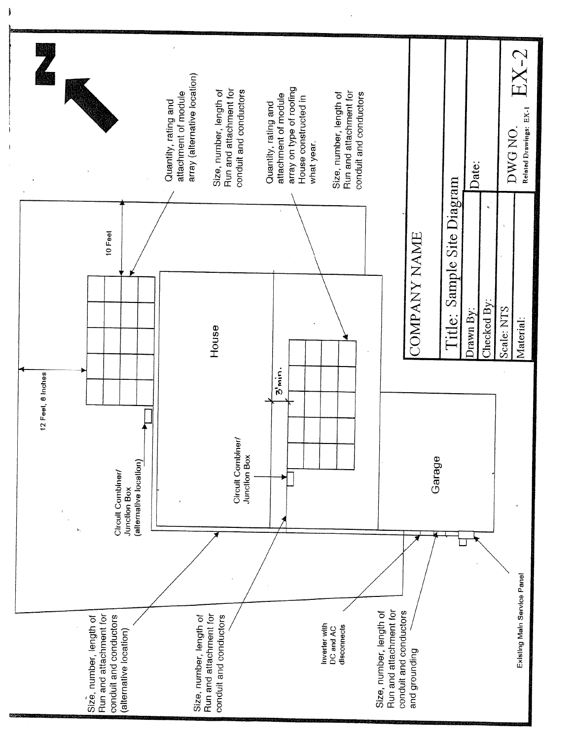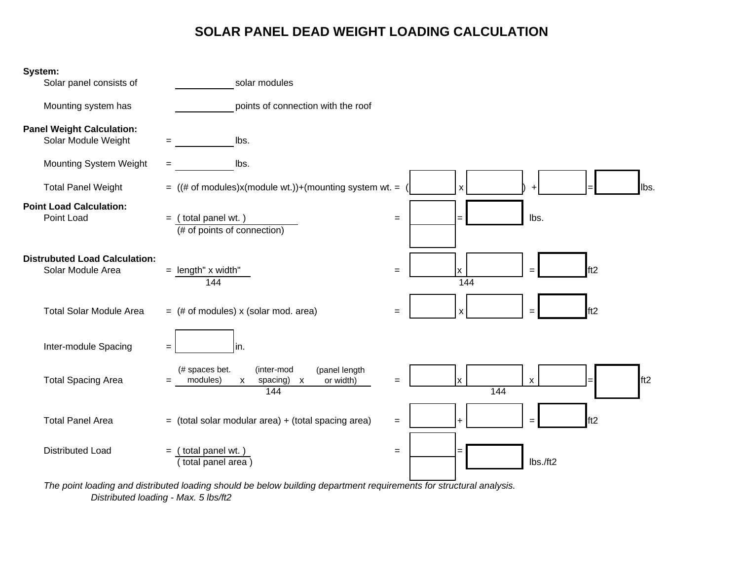#### **SOLAR PANEL DEAD WEIGHT LOADING CALCULATION**



*The point loading and distributed loading should be below building department requirements for structural analysis. Distributed loading - Max. 5 lbs/ft2*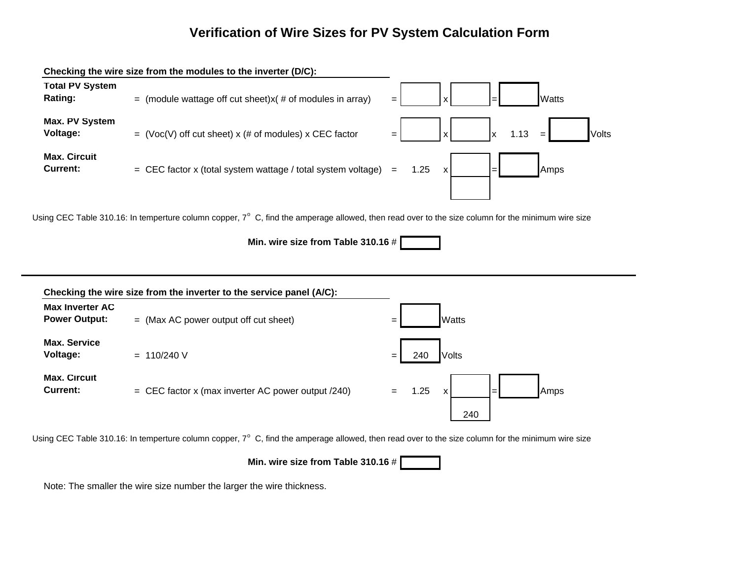#### **Verification of Wire Sizes for PV System Calculation Form**





Using CEC Table 310.16: In temperture column copper, 7° C, find the amperage allowed, then read over to the size column for the minimum wire size

**Min. wire size from Table 310.16** #

Note: The smaller the wire size number the larger the wire thickness.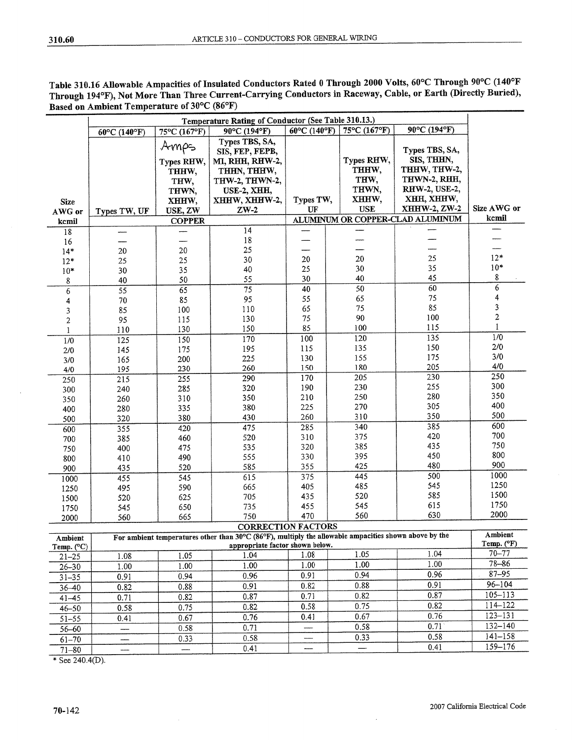| Table 310.16 Allowable Ampacities of Insulated Conductors Rated 0 Through 2000 Volts, 60°C Through 90°C (140°F |  |
|----------------------------------------------------------------------------------------------------------------|--|
| Through 194°F), Not More Than Three Current-Carrying Conductors in Raceway, Cable, or Earth (Directly Buried), |  |
| Based on Ambient Temperature of 30°C (86°F)                                                                    |  |

|                  | Temperature Rating of Conductor (See Table 310.13.) |               |                                                                                                       |                        |              |                                  |                       |  |  |
|------------------|-----------------------------------------------------|---------------|-------------------------------------------------------------------------------------------------------|------------------------|--------------|----------------------------------|-----------------------|--|--|
|                  | 60°C (140°F)                                        | 75°C (167°F)  | 90°C (194°F)                                                                                          | $60^{\circ}$ C (140°F) | 75°C (167°F) | 90°C (194°F)                     |                       |  |  |
|                  |                                                     |               | Types TBS, SA,                                                                                        |                        |              |                                  |                       |  |  |
|                  |                                                     | Amps          | SIS, FEP, FEPB,                                                                                       |                        |              | Types TBS, SA,                   |                       |  |  |
|                  |                                                     | Types RHW,    | MI, RHH, RHW-2,                                                                                       |                        | Types RHW,   | SIS, THHN,                       |                       |  |  |
|                  |                                                     | THHW,         | THHN, THHW,                                                                                           |                        | THHW,        | THHW, THW-2,                     |                       |  |  |
|                  |                                                     | THW,          | THW-2, THWN-2,                                                                                        |                        | THW,         | THWN-2, RHH,                     |                       |  |  |
|                  |                                                     | THWN,         | USE-2, XHH,                                                                                           |                        | THWN,        | RHW-2, USE-2,                    |                       |  |  |
| <b>Size</b>      |                                                     | XHHW,         | XHHW, XHHW-2,                                                                                         | Types TW,              | XHHW,        | XHH, XHHW,                       |                       |  |  |
| AWG or           | Types TW, UF                                        | USE, ZW       | $ZW-2$                                                                                                | UF                     | <b>USE</b>   | XHHW-2, ZW-2                     | Size AWG or           |  |  |
| kcmil            |                                                     | <b>COPPER</b> |                                                                                                       |                        |              | ALUMINUM OR COPPER-CLAD ALUMINUM | kcmil                 |  |  |
| 18               |                                                     |               | 14                                                                                                    |                        |              |                                  |                       |  |  |
| 16               |                                                     |               | $18\,$                                                                                                |                        |              |                                  |                       |  |  |
| $14*$            | $20\,$                                              | 20            | 25                                                                                                    |                        |              |                                  |                       |  |  |
| $12*$            | 25                                                  | 25            | 30                                                                                                    | 20                     | 20           | 25                               | $12*$                 |  |  |
| $10*$            | 30                                                  | 35            | 40                                                                                                    | 25                     | 30           | 35                               | $10*$                 |  |  |
| 8                | 40                                                  | 50            | 55                                                                                                    | 30                     | 40           | 45                               | 8                     |  |  |
| $\overline{6}$   | $\overline{55}$                                     | 65            | 75                                                                                                    | 40                     | 50           | 60                               | 6                     |  |  |
|                  | $70\,$                                              | 85            | 95                                                                                                    | 55                     | 65           | 75                               | 4                     |  |  |
| 4                | 85                                                  | 100           | 110                                                                                                   | 65                     | 75           | 85                               | 3                     |  |  |
| 3                | 95                                                  | 115           | 130                                                                                                   | 75                     | 90           | 100                              | $\overline{c}$        |  |  |
| $\boldsymbol{2}$ |                                                     | 130           | 150                                                                                                   | 85                     | 100          | 115                              | $\mathbf{1}$          |  |  |
| $\mathbf{1}$     | 110                                                 | 150           | 170                                                                                                   | 100                    | 120          | 135                              | 1/0                   |  |  |
| 1/0              | 125                                                 |               | 195                                                                                                   | 115                    | 135          | 150                              | $2/0$                 |  |  |
| 2/0              | 145                                                 | 175<br>200    | 225                                                                                                   | 130                    | 155          | 175                              | 3/0                   |  |  |
| 3/0              | 165                                                 | 230           | 260                                                                                                   | 150                    | 180          | 205                              | 4/0                   |  |  |
| 4/0              | 195                                                 |               |                                                                                                       | 170                    | 205          | 230                              | 250                   |  |  |
| 250              | 215                                                 | 255           | 290                                                                                                   | 190                    | 230          | 255                              | 300                   |  |  |
| 300              | 240                                                 | 285           | 320                                                                                                   | 210                    | 250          | 280                              | 350                   |  |  |
| 350              | 260                                                 | 310           | 350                                                                                                   | 225                    | 270          | 305                              | 400                   |  |  |
| 400              | 280                                                 | 335           | 380                                                                                                   |                        |              | 350                              | 500                   |  |  |
| 500              | 320                                                 | 380           | 430                                                                                                   | 260                    | 310          | 385                              | 600                   |  |  |
| 600              | 355                                                 | 420           | 475                                                                                                   | 285                    | 340          | 420                              | 700                   |  |  |
| 700              | 385                                                 | 460           | 520                                                                                                   | 310                    | 375          | 435                              | 750                   |  |  |
| 750              | 400                                                 | 475           | 535                                                                                                   | 320                    | 385          | 450                              | 800                   |  |  |
| 800              | 410                                                 | 490           | 555                                                                                                   | 330                    | 395          |                                  | 900                   |  |  |
| 900              | 435                                                 | 520           | 585                                                                                                   | 355                    | 425          | 480                              | 1000                  |  |  |
| 1000             | 455                                                 | 545           | 615                                                                                                   | 375                    | 445          | 500                              |                       |  |  |
| 1250             | 495                                                 | 590           | 665                                                                                                   | 405                    | 485          | 545                              | 1250<br>1500          |  |  |
| 1500             | 520                                                 | 625           | 705                                                                                                   | 435                    | 520          | 585                              |                       |  |  |
| 1750             | 545                                                 | 650           | 735                                                                                                   | 455                    | 545          | 615                              | 1750                  |  |  |
| 2000             | 560                                                 | 665           | 750                                                                                                   | 470                    | 560          | 630                              | 2000                  |  |  |
|                  |                                                     |               | <b>CORRECTION FACTORS</b>                                                                             |                        |              |                                  |                       |  |  |
| Ambient          |                                                     |               | For ambient temperatures other than 30°C (86°F), multiply the allowable ampacities shown above by the |                        |              |                                  | Ambient<br>Temp. (°F) |  |  |
| Temp. (°C)       |                                                     |               | appropriate factor shown below.                                                                       |                        |              | 1.04                             | $70 - 77$             |  |  |
| $21 - 25$        | 1.08                                                | 1.05          | 1.04                                                                                                  | 1.08                   | 1.05         |                                  | $78 - 86$             |  |  |
| $26 - 30$        | 1.00                                                | 1.00          | 1.00                                                                                                  | 1.00                   | 1.00         | 1.00                             |                       |  |  |
| $31 - 35$        | 0.91                                                | 0.94          | 0.96                                                                                                  | 0.91                   | 0.94         | 0.96                             | $87 - 95$             |  |  |
| $36 - 40$        | 0.82                                                | 0.88          | 0.91                                                                                                  | 0.82                   | 0.88         | 0.91                             | $96 - 104$            |  |  |
| $41 - 45$        | 0.71                                                | 0.82          | 0.87                                                                                                  | 0.71                   | 0.82         | 0.87                             | $105 - 113$           |  |  |
| $46 - 50$        | 0.58                                                | 0.75          | 0.82                                                                                                  | 0.58                   | 0.75         | 0.82                             | 114-122               |  |  |
| $51 - 55$        | 0.41                                                | 0.67          | 0.76                                                                                                  | 0.41                   | 0.67         | 0.76                             | $123 - 131$           |  |  |
| $56 - 60$        |                                                     | 0.58          | 0.71                                                                                                  | -----                  | 0.58         | 0.71                             | $132 - 140$           |  |  |
| $61 - 70$        |                                                     | 0.33          | 0.58                                                                                                  |                        | 0.33         | 0.58                             | $141 - 158$           |  |  |
| $71 - 80$        | -----                                               | $\frac{1}{2}$ | 0.41                                                                                                  |                        |              | 0.41                             | 159-176               |  |  |

\* See 240.4(D).

÷,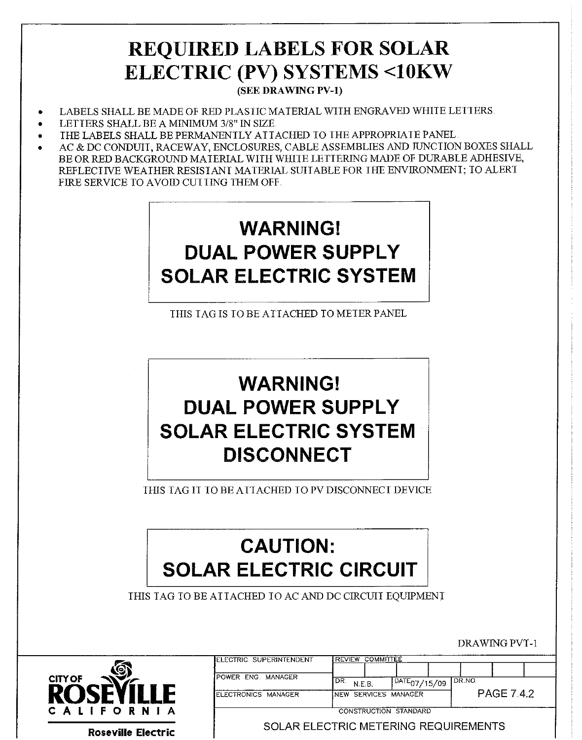## **REQUIRED LABELS FOR SOLAR ELECTRIC (PV) SYSTEMS <10KW**

(SEE DRAWING PV-1)

- LABELS SHALL BE MADE OF RED PLASTIC MATERIAL WITH ENGRAVED WHITE LETTERS
- LETTERS SHALL BE A MINIMUM 3/8" IN SIZE.
- THE LABELS SHALL BE PERMANENTLY ATTACHED TO THE APPROPRIATE PANEL.
- AC & DC CONDUIT, RACEWAY, ENCLOSURES, CABLE ASSEMBLIES AND JUNCTION BOXES SHALL BE OR RED BACKGROUND MATERIAL WITH WHITE LETTERING MADE OF DURABLE ADHESIVE, REFLECIIVE WEATHER RESISTANT MATERIAL SUITABLE FOR THE ENVIRONMENT: TO ALERT FIRE SERVICE TO AVOID CUT IING THEM OFF.

# **WARNING! DUAL POWER SUPPLY SOLAR ELECTRIC SYSTEM**

THIS TAG IS TO BE ATTACHED TO METER PANEL

## **WARNING! DUAL POWER SUPPLY SOLAR ELECTRIC SYSTEM DISCONNECT**

THIS TAG IT TO BE ATTACHED TO PV DISCONNECT DEVICE

# **CAUTION: SOLAR ELECTRIC CIRCUIT**

THIS TAG TO BE ATTACHED TO AC AND DC CIRCUIT EQUIPMENT



**Roseville Electric** 

| LECTRIC SUPERINTENDENT | REVIEW COMMITTEE      |  |                          |  |                   |  |  |  |  |
|------------------------|-----------------------|--|--------------------------|--|-------------------|--|--|--|--|
|                        |                       |  |                          |  |                   |  |  |  |  |
| OWER ENG MANAGER       | I DR<br>N.F.B.        |  | $\sqrt{DATE_{07}}/15/09$ |  | LDR NO.           |  |  |  |  |
| ECTRONICS MANAGER      | INEW SERVICES MANAGER |  |                          |  | <b>PAGE 7.4.2</b> |  |  |  |  |
|                        |                       |  | CONSTRUCTION STANDARD    |  |                   |  |  |  |  |

DRAWING PVT-1

SOLAR ELECTRIC METERING REQUIREMENTS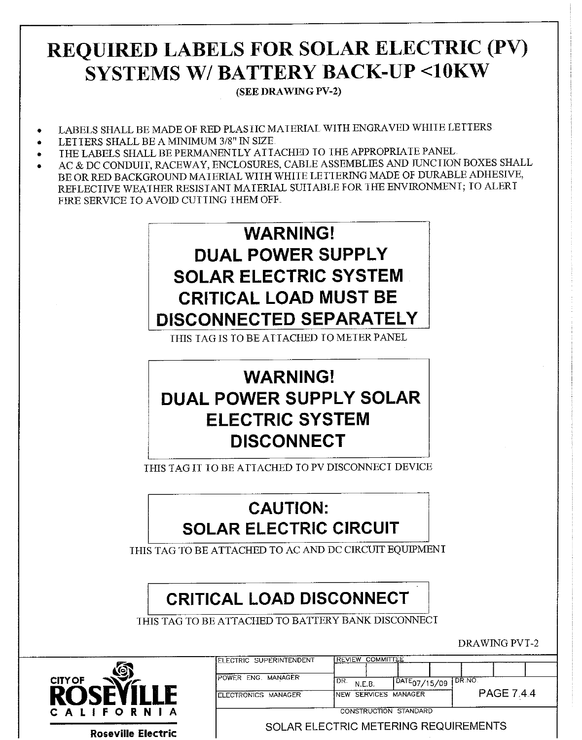## REQUIRED LABELS FOR SOLAR ELECTRIC (PV) **SYSTEMS W/ BATTERY BACK-UP <10KW**

(SEE DRAWING PV-2)

- LABELS SHALL BE MADE OF RED PLASTIC MATERIAL WITH ENGRAVED WHITE LETTERS
- LETTERS SHALL BE A MINIMUM 3/8" IN SIZE
- THE LABELS SHALL BE PERMANENTLY ATTACHED TO THE APPROPRIATE PANEL
- AC & DC CONDUIT, RACEWAY, ENCLOSURES, CABLE ASSEMBLIES AND JUNCTION BOXES SHALL BE OR RED BACKGROUND MATERIAL WITH WHITE LETTERING MADE OF DURABLE ADHESIVE, REFLECTIVE WEATHER RESISTANT MATERIAL SUITABLE FOR THE ENVIRONMENT; TO ALERT FIRE SERVICE TO AVOID CUTTING THEM OFF.



THIS TAG IS TO BE ATTACHED TO METER PANEL

### **WARNING! DUAL POWER SUPPLY SOLAR ELECTRIC SYSTEM DISCONNECT**

THIS TAG IT TO BE ATTACHED TO PV DISCONNECT DEVICE

#### **CAUTION: SOLAR ELECTRIC CIRCUIT**

THIS TAG TO BE ATTACHED TO AC AND DC CIRCUIT EQUIPMENT

### **CRITICAL LOAD DISCONNECT**

THIS TAG TO BE ATTACHED TO BATTERY BANK DISCONNECT





| POWER ENG MANAGER   | 'DR.<br>N.F.B | $DATE_{07/15/09}$     | 1 DR NO.          |
|---------------------|---------------|-----------------------|-------------------|
| ELECTRONICS MANAGER |               | INEW SERVICES MANAGER | <b>PAGE 7.4.4</b> |

 $T$ 

SOLAR ELECTRIC METERING REQUIREMENTS